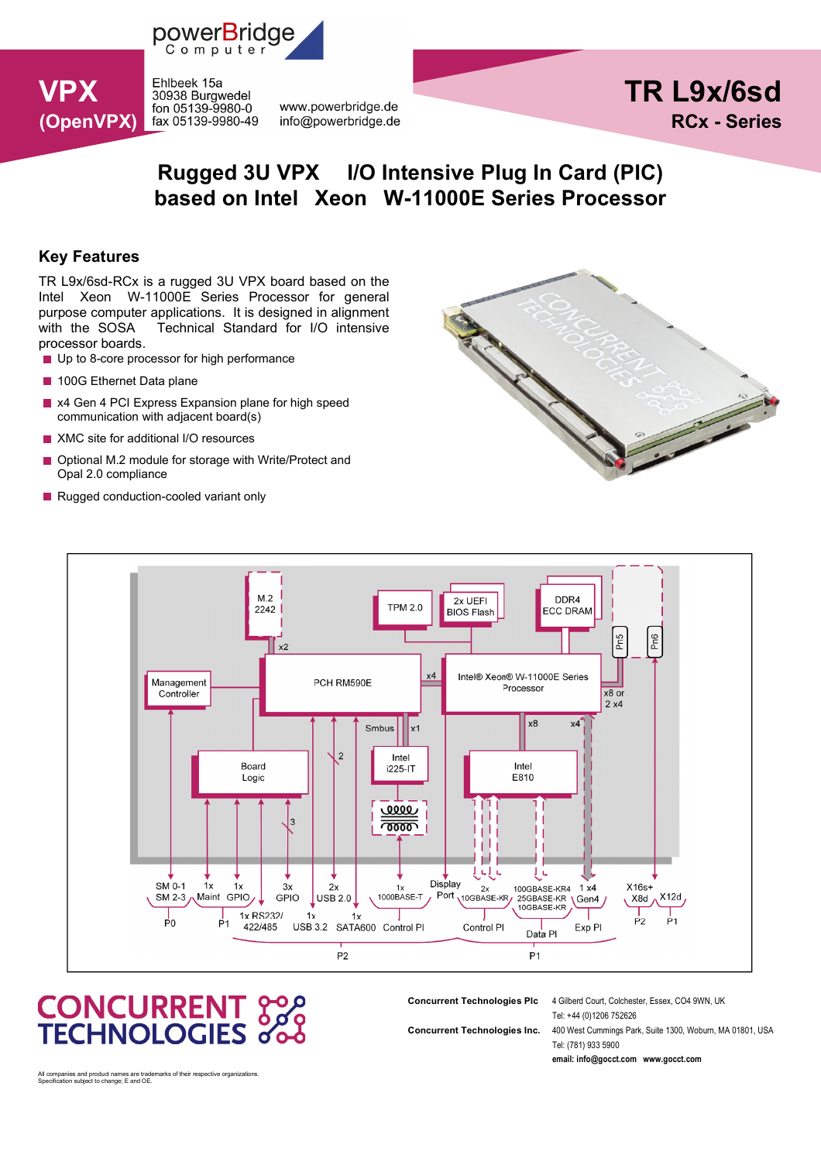

**VPX** Ehlbeek 15a 30938 Burgwedel fon 05139-9980-0 (OpenVPX) fax 05139-9980-49

www.powerbridge.de info@powerbridge.de



## Rugged 3U VPX I/O Intensive Plug In Card (PIC) based on Intel Xeon W-11000E Series Processor

## Key Features

TR L9x/6sd-RCx is a rugged 3U VPX board based on the Intel Xeon W-11000E Series Processor for general purpose computer applications. It is designed in alignment with the SOSA Technical Standard for I/O intensive processor boards.

- Up to 8-core processor for high performance
- 100G Ethernet Data plane
- x4 Gen 4 PCI Express Expansion plane for high speed p. communication with adjacent board(s)
- **XMC** site for additional I/O resources
- Optional M.2 module for storage with Write/Protect and Opal 2.0 compliance
- Rugged conduction-cooled variant only





# **CONCURRENT 3200**<br>TECHNOLOGIES 000

Concurrent Technologies Plc 4 Gilberd Court, Colchester, Essex, CO4 9WN, UK

Tel: +44 (0)1206 752626 Concurrent Technologies Inc. 400 West Cummings Park, Suite 1300, Woburn, MA 01801, USA Tel: (781) 933 5900

email: info@gocct.com www.gocct.com

All companies and product names are trademarks of their respective organizations. Specification subject to change; E and OE.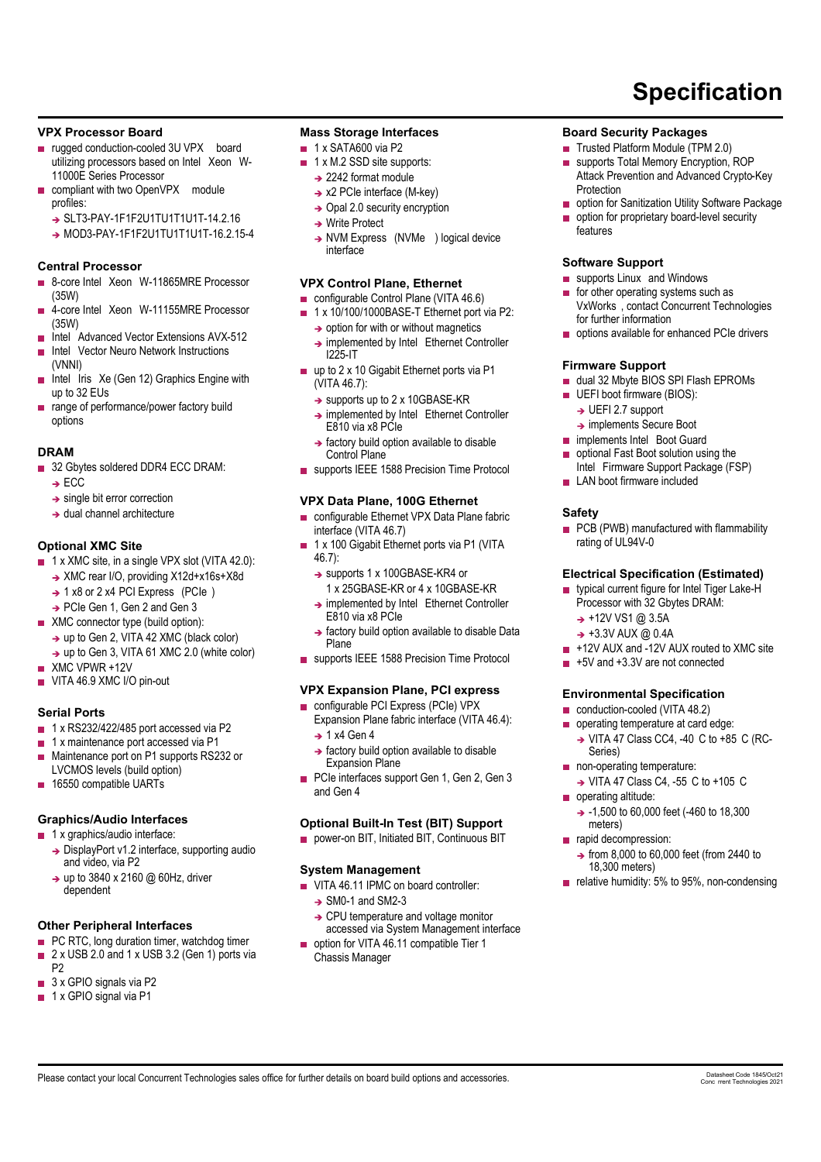#### VPX Processor Board

- rugged conduction-cooled 3U VPX board utilizing processors based on Intel Xeon W-11000E Series Processor
- compliant with two OpenVPX module profiles:
	- → SLT3-PAY-1F1F2U1TU1T1U1T-14.2.16
	- → MOD3-PAY-1F1F2U1TU1T1U1T-16.2.15-4

## Central Processor

- 8-core Intel Xeon W-11865MRE Processor (35W)
- 4-core Intel Xeon W-11155MRE Processor П (35W)
- Intel Advanced Vector Extensions AVX-512 ÷
- Intel Vector Neuro Network Instructions
- (VNNI) Intel Iris Xe (Gen 12) Graphics Engine with up to 32 EUs
- range of performance/power factory build options

#### DRAM

- 32 Gbytes soldered DDR4 ECC DRAM:
	- $\rightarrow$  FCC
	- $\rightarrow$  single bit error correction
	- $\rightarrow$  dual channel architecture

## Optional XMC Site

- 1 x XMC site, in a single VPX slot (VITA 42.0):
	- → XMC rear I/O, providing X12d+x16s+X8d
	- $\rightarrow$  1 x8 or 2 x4 PCI Express (PCIe)
	- → PCIe Gen 1, Gen 2 and Gen 3
- **XMC** connector type (build option):
	- → up to Gen 2, VITA 42 XMC (black color)
	- → up to Gen 3, VITA 61 XMC 2.0 (white color)
- **XMC VPWR +12V**
- VITA 46.9 XMC I/O pin-out

#### Serial Ports

- $\blacksquare$  1 x RS232/422/485 port accessed via P2
- 1 x maintenance port accessed via P1 г
- Maintenance port on P1 supports RS232 or  $\blacksquare$ LVCMOS levels (build option)
- 16550 compatible UARTs m,

#### Graphics/Audio Interfaces

- 1 x graphics/audio interface:
	- → DisplayPort v1.2 interface, supporting audio and video, via P2
	- → up to 3840 x 2160 @ 60Hz, driver dependent

## Other Peripheral Interfaces

- **PC RTC, long duration timer, watchdog timer**
- 2 x USB 2.0 and 1 x USB 3.2 (Gen 1) ports via
- P2 3 x GPIO signals via P2
- $\blacksquare$  1 x GPIO signal via P1

## Mass Storage Interfaces

- $\blacksquare$  1 x SATA600 via P2
- 1 x M.2 SSD site supports:  $\blacksquare$ 
	- $\rightarrow$  2242 format module
	- $\rightarrow$  x2 PCIe interface (M-key)
	- $\rightarrow$  Opal 2.0 security encryption
	- **→ Write Protect**
	- → NVM Express (NVMe ) logical device interface

## VPX Control Plane, Ethernet

- configurable Control Plane (VITA 46.6)
- 1 x 10/100/1000BASE-T Ethernet port via P2:  $\rightarrow$  option for with or without magnetics
	- → implemented by Intel Ethernet Controller I225-IT
- $\blacksquare$  up to 2 x 10 Gigabit Ethernet ports via P1 (VITA 46.7):
	- → supports up to 2 x 10GBASE-KR
	- → implemented by Intel Ethernet Controller E810 via x8 PCIe
	- $\rightarrow$  factory build option available to disable Control Plane
- supports IEEE 1588 Precision Time Protocol

## VPX Data Plane, 100G Ethernet

- configurable Ethernet VPX Data Plane fabric interface (VITA 46.7)
- 1 x 100 Gigabit Ethernet ports via P1 (VITA ÷. 46.7):
	- → supports 1 x 100GBASE-KR4 or
	- 1 x 25GBASE-KR or 4 x 10GBASE-KR
	- → implemented by Intel Ethernet Controller E810 via x8 PCIe
	- $\rightarrow$  factory build option available to disable Data Plane
- supports IEEE 1588 Precision Time Protocol

## VPX Expansion Plane, PCI express

- configurable PCI Express (PCIe) VPX Expansion Plane fabric interface (VITA 46.4):
	- $\rightarrow$  1 x4 Gen 4
	- $\rightarrow$  factory build option available to disable Expansion Plane
- PCIe interfaces support Gen 1, Gen 2, Gen 3 and Gen 4

## Optional Built-In Test (BIT) Support

**power-on BIT, Initiated BIT, Continuous BIT** 

## System Management

- VITA 46.11 IPMC on board controller:
	- $\rightarrow$  SM0-1 and SM2-3 → CPU temperature and voltage monitor
- accessed via System Management interface option for VITA 46.11 compatible Tier 1

Please contact your local Concurrent Technologies sales office for further details on board build options and accessories.

Chassis Manager

## Board Security Packages

- Trusted Platform Module (TPM 2.0)  $\mathbf{r}$
- supports Total Memory Encryption, ROP Ē Attack Prevention and Advanced Crypto-Key Protection

Specification

- **p** option for Sanitization Utility Software Package
- option for proprietary board-level security features

#### Software Support

- supports Linux and Windows
- $\mathbf{r}$ for other operating systems such as VxWorks , contact Concurrent Technologies for further information
- options available for enhanced PCIe drivers

#### Firmware Support

- dual 32 Mbyte BIOS SPI Flash EPROMs
- UEFI boot firmware (BIOS): m.
	- $\rightarrow$  UEFI 2.7 support
	- → implements Secure Boot
- implements Intel Boot Guard  $\mathcal{L}_{\mathcal{A}}$
- optional Fast Boot solution using the П Intel Firmware Support Package (FSP)
- LAN boot firmware included

#### **Safety**

**PCB** (PWB) manufactured with flammability rating of UL94V-0

#### Electrical Specification (Estimated)

typical current figure for Intel Tiger Lake-H Processor with 32 Gbytes DRAM:

+5V and +3.3V are not connected

Environmental Specification conduction-cooled (VITA 48.2) operating temperature at card edge: → VITA 47 Class CC4, -40 C to +85 C (RC-

non-operating temperature:

→ VITA 47 Class C4, -55 C to +105 C

 $\rightarrow$  -1,500 to 60,000 feet (-460 to 18,300

 $\rightarrow$  from 8,000 to 60,000 feet (from 2440 to

 $\blacksquare$  relative humidity: 5% to 95%, non-condensing

+12V AUX and -12V AUX routed to XMC site

Conc rrent Technologies 2021

 $\rightarrow$  +12V VS1 @ 3.5A  $\rightarrow$  +3.3V AUX @ 0.4A

Series)

operating altitude:

meters) rapid decompression:

18,300 meters)